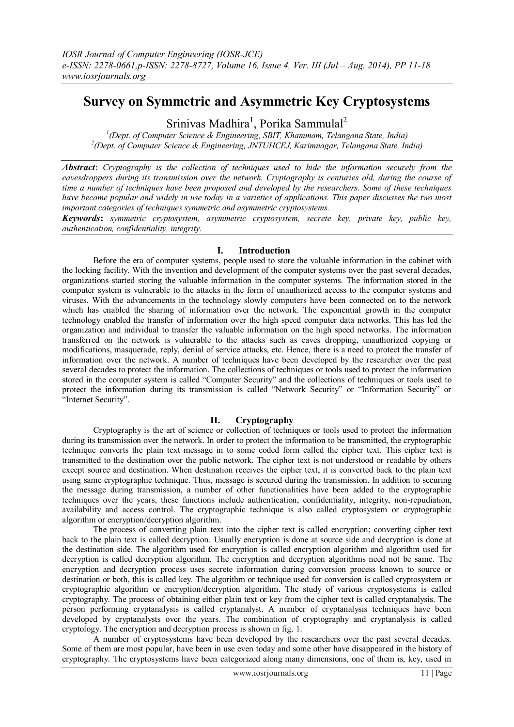# **Survey on Symmetric and Asymmetric Key Cryptosystems**

Srinivas Madhira<sup>1</sup>, Porika Sammulal<sup>2</sup>

*1 (Dept. of Computer Science & Engineering, SBIT, Khammam, Telangana State, India) 2 (Dept. of Computer Science & Engineering, JNTUHCEJ, Karimnagar, Telangana State, India)*

*Abstract*: *Cryptography is the collection of techniques used to hide the information securely from the eavesdroppers during its transmission over the network. Cryptography is centuries old, during the course of time a number of techniques have been proposed and developed by the researchers. Some of these techniques have become popular and widely in use today in a varieties of applications. This paper discusses the two most important categories of techniques symmetric and asymmetric cryptosystems.*

*Keywords***:** *symmetric cryptosystem, asymmetric cryptosystem, secrete key, private key, public key, authentication, confidentiality, integrity.*

# **I. Introduction**

Before the era of computer systems, people used to store the valuable information in the cabinet with the locking facility. With the invention and development of the computer systems over the past several decades, organizations started storing the valuable information in the computer systems. The information stored in the computer system is vulnerable to the attacks in the form of unauthorized access to the computer systems and viruses. With the advancements in the technology slowly computers have been connected on to the network which has enabled the sharing of information over the network. The exponential growth in the computer technology enabled the transfer of information over the high speed computer data networks. This has led the organization and individual to transfer the valuable information on the high speed networks. The information transferred on the network is vulnerable to the attacks such as eaves dropping, unauthorized copying or modifications, masquerade, reply, denial of service attacks, etc. Hence, there is a need to protect the transfer of information over the network. A number of techniques have been developed by the researcher over the past several decades to protect the information. The collections of techniques or tools used to protect the information stored in the computer system is called "Computer Security" and the collections of techniques or tools used to protect the information during its transmission is called "Network Security" or "Information Security" or "Internet Security".

# **II. Cryptography**

Cryptography is the art of science or collection of techniques or tools used to protect the information during its transmission over the network. In order to protect the information to be transmitted, the cryptographic technique converts the plain text message in to some coded form called the cipher text. This cipher text is transmitted to the destination over the public network. The cipher text is not understood or readable by others except source and destination. When destination receives the cipher text, it is converted back to the plain text using same cryptographic technique. Thus, message is secured during the transmission. In addition to securing the message during transmission, a number of other functionalities have been added to the cryptographic techniques over the years, these functions include authentication, confidentiality, integrity, non-repudiation, availability and access control. The cryptographic technique is also called cryptosystem or cryptographic algorithm or encryption/decryption algorithm.

The process of converting plain text into the cipher text is called encryption; converting cipher text back to the plain text is called decryption. Usually encryption is done at source side and decryption is done at the destination side. The algorithm used for encryption is called encryption algorithm and algorithm used for decryption is called decryption algorithm. The encryption and decryption algorithms need not be same. The encryption and decryption process uses secrete information during conversion process known to source or destination or both, this is called key. The algorithm or technique used for conversion is called cryptosystem or cryptographic algorithm or encryption/decryption algorithm. The study of various cryptosystems is called cryptography. The process of obtaining either plain text or key from the cipher text is called cryptanalysis. The person performing cryptanalysis is called cryptanalyst. A number of cryptanalysis techniques have been developed by cryptanalysts over the years. The combination of cryptography and cryptanalysis is called cryptology. The encryption and decryption process is shown in fig. 1.

A number of cryptosystems have been developed by the researchers over the past several decades. Some of them are most popular, have been in use even today and some other have disappeared in the history of cryptography. The cryptosystems have been categorized along many dimensions, one of them is, key, used in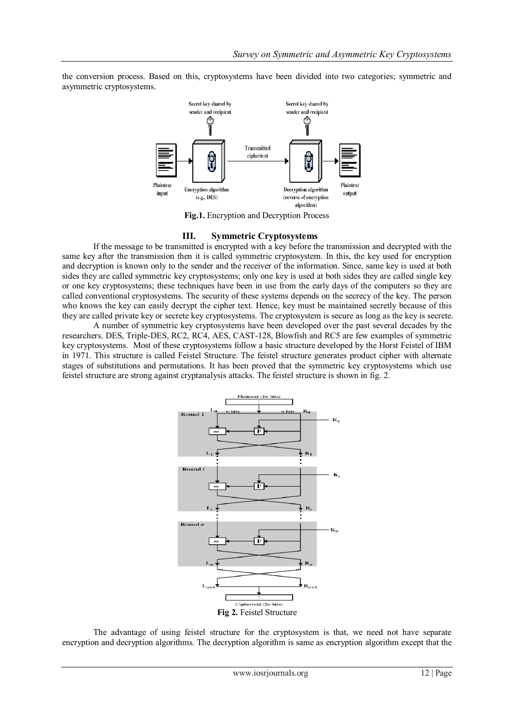the conversion process. Based on this, cryptosystems have been divided into two categories; symmetric and asymmetric cryptosystems.



**Fig.1.** Encryption and Decryption Process

# **III. Symmetric Cryptosystems**

If the message to be transmitted is encrypted with a key before the transmission and decrypted with the same key after the transmission then it is called symmetric cryptosystem. In this, the key used for encryption and decryption is known only to the sender and the receiver of the information. Since, same key is used at both sides they are called symmetric key cryptosystems; only one key is used at both sides they are called single key or one key cryptosystems; these techniques have been in use from the early days of the computers so they are called conventional cryptosystems. The security of these systems depends on the secrecy of the key. The person who knows the key can easily decrypt the cipher text. Hence, key must be maintained secretly because of this they are called private key or secrete key cryptosystems. The cryptosystem is secure as long as the key is secrete.

A number of symmetric key cryptosystems have been developed over the past several decades by the researchers. DES, Triple-DES, RC2, RC4, AES, CAST-128, Blowfish and RC5 are few examples of symmetric key cryptosystems. Most of these cryptosystems follow a basic structure developed by the Horst Feistel of IBM in 1971. This structure is called Feistel Structure. The feistel structure generates product cipher with alternate stages of substitutions and permutations. It has been proved that the symmetric key cryptosystems which use feistel structure are strong against cryptanalysis attacks. The feistel structure is shown in fig. 2.



The advantage of using feistel structure for the cryptosystem is that, we need not have separate encryption and decryption algorithms. The decryption algorithm is same as encryption algorithm except that the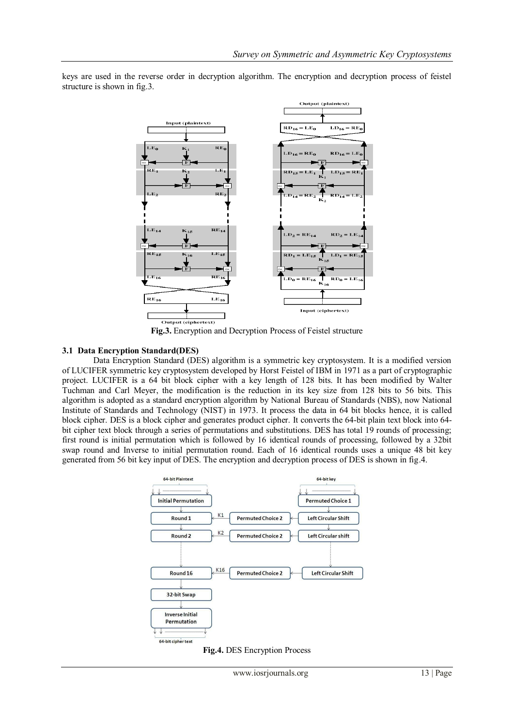

keys are used in the reverse order in decryption algorithm. The encryption and decryption process of feistel structure is shown in fig.3.

**Fig.3.** Encryption and Decryption Process of Feistel structure

# **3.1 Data Encryption Standard(DES)**

Data Encryption Standard (DES) algorithm is a symmetric key cryptosystem. It is a modified version of LUCIFER symmetric key cryptosystem developed by Horst Feistel of IBM in 1971 as a part of cryptographic project. LUCIFER is a 64 bit block cipher with a key length of 128 bits. It has been modified by Walter Tuchman and Carl Meyer, the modification is the reduction in its key size from 128 bits to 56 bits. This algorithm is adopted as a standard encryption algorithm by National Bureau of Standards (NBS), now National Institute of Standards and Technology (NIST) in 1973. It process the data in 64 bit blocks hence, it is called block cipher. DES is a block cipher and generates product cipher. It converts the 64-bit plain text block into 64 bit cipher text block through a series of permutations and substitutions. DES has total 19 rounds of processing; first round is initial permutation which is followed by 16 identical rounds of processing, followed by a 32bit swap round and Inverse to initial permutation round. Each of 16 identical rounds uses a unique 48 bit key generated from 56 bit key input of DES. The encryption and decryption process of DES is shown in fig.4.



**Fig.4.** DES Encryption Process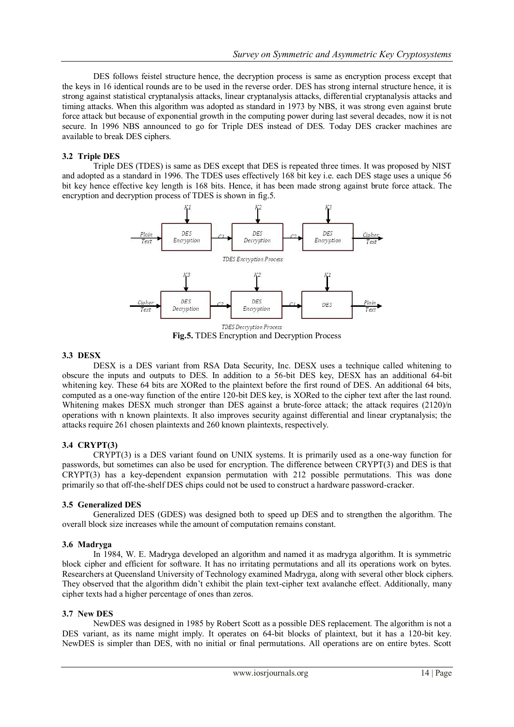DES follows feistel structure hence, the decryption process is same as encryption process except that the keys in 16 identical rounds are to be used in the reverse order. DES has strong internal structure hence, it is strong against statistical cryptanalysis attacks, linear cryptanalysis attacks, differential cryptanalysis attacks and timing attacks. When this algorithm was adopted as standard in 1973 by NBS, it was strong even against brute force attack but because of exponential growth in the computing power during last several decades, now it is not secure. In 1996 NBS announced to go for Triple DES instead of DES. Today DES cracker machines are available to break DES ciphers.

#### **3.2 Triple DES**

Triple DES (TDES) is same as DES except that DES is repeated three times. It was proposed by NIST and adopted as a standard in 1996. The TDES uses effectively 168 bit key i.e. each DES stage uses a unique 56 bit key hence effective key length is 168 bits. Hence, it has been made strong against brute force attack. The encryption and decryption process of TDES is shown in fig.5.



**Fig.5.** TDES Encryption and Decryption Process

#### **3.3 DESX**

DESX is a DES variant from RSA Data Security, Inc. DESX uses a technique called whitening to obscure the inputs and outputs to DES. In addition to a 56-bit DES key, DESX has an additional 64-bit whitening key. These 64 bits are XORed to the plaintext before the first round of DES. An additional 64 bits, computed as a one-way function of the entire 120-bit DES key, is XORed to the cipher text after the last round. Whitening makes DESX much stronger than DES against a brute-force attack; the attack requires (2120)/n operations with n known plaintexts. It also improves security against differential and linear cryptanalysis; the attacks require 261 chosen plaintexts and 260 known plaintexts, respectively.

# **3.4 CRYPT(3)**

CRYPT(3) is a DES variant found on UNIX systems. It is primarily used as a one-way function for passwords, but sometimes can also be used for encryption. The difference between CRYPT(3) and DES is that CRYPT(3) has a key-dependent expansion permutation with 212 possible permutations. This was done primarily so that off-the-shelf DES chips could not be used to construct a hardware password-cracker.

# **3.5 Generalized DES**

Generalized DES (GDES) was designed both to speed up DES and to strengthen the algorithm. The overall block size increases while the amount of computation remains constant.

# **3.6 Madryga**

In 1984, W. E. Madryga developed an algorithm and named it as madryga algorithm. It is symmetric block cipher and efficient for software. It has no irritating permutations and all its operations work on bytes. Researchers at Queensland University of Technology examined Madryga, along with several other block ciphers. They observed that the algorithm didn"t exhibit the plain text-cipher text avalanche effect. Additionally, many cipher texts had a higher percentage of ones than zeros.

#### **3.7 New DES**

NewDES was designed in 1985 by Robert Scott as a possible DES replacement. The algorithm is not a DES variant, as its name might imply. It operates on 64-bit blocks of plaintext, but it has a 120-bit key. NewDES is simpler than DES, with no initial or final permutations. All operations are on entire bytes. Scott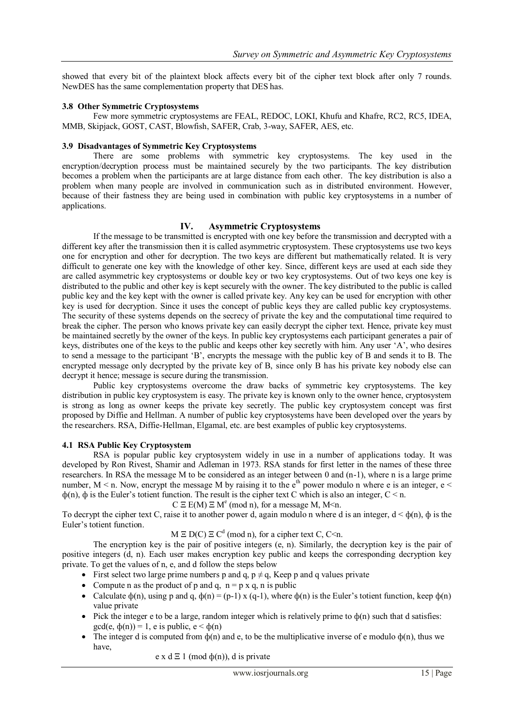showed that every bit of the plaintext block affects every bit of the cipher text block after only 7 rounds. NewDES has the same complementation property that DES has.

#### **3.8 Other Symmetric Cryptosystems**

Few more symmetric cryptosystems are FEAL, REDOC, LOKI, Khufu and Khafre, RC2, RC5, IDEA, MMB, Skipjack, GOST, CAST, Blowfish, SAFER, Crab, 3-way, SAFER, AES, etc.

# **3.9 Disadvantages of Symmetric Key Cryptosystems**

There are some problems with symmetric key cryptosystems. The key used in the encryption/decryption process must be maintained securely by the two participants. The key distribution becomes a problem when the participants are at large distance from each other. The key distribution is also a problem when many people are involved in communication such as in distributed environment. However, because of their fastness they are being used in combination with public key cryptosystems in a number of applications.

# **IV. Asymmetric Cryptosystems**

If the message to be transmitted is encrypted with one key before the transmission and decrypted with a different key after the transmission then it is called asymmetric cryptosystem. These cryptosystems use two keys one for encryption and other for decryption. The two keys are different but mathematically related. It is very difficult to generate one key with the knowledge of other key. Since, different keys are used at each side they are called asymmetric key cryptosystems or double key or two key cryptosystems. Out of two keys one key is distributed to the public and other key is kept securely with the owner. The key distributed to the public is called public key and the key kept with the owner is called private key. Any key can be used for encryption with other key is used for decryption. Since it uses the concept of public keys they are called public key cryptosystems. The security of these systems depends on the secrecy of private the key and the computational time required to break the cipher. The person who knows private key can easily decrypt the cipher text. Hence, private key must be maintained secretly by the owner of the keys. In public key cryptosystems each participant generates a pair of keys, distributes one of the keys to the public and keeps other key secretly with him. Any user "A", who desires to send a message to the participant "B", encrypts the message with the public key of B and sends it to B. The encrypted message only decrypted by the private key of B, since only B has his private key nobody else can decrypt it hence; message is secure during the transmission.

 Public key cryptosystems overcome the draw backs of symmetric key cryptosystems. The key distribution in public key cryptosystem is easy. The private key is known only to the owner hence, cryptosystem is strong as long as owner keeps the private key secretly. The public key cryptosystem concept was first proposed by Diffie and Hellman. A number of public key cryptosystems have been developed over the years by the researchers. RSA, Diffie-Hellman, Elgamal, etc. are best examples of public key cryptosystems.

# **4.1 RSA Public Key Cryptosystem**

RSA is popular public key cryptosystem widely in use in a number of applications today. It was developed by Ron Rivest, Shamir and Adleman in 1973. RSA stands for first letter in the names of these three researchers. In RSA the message M to be considered as an integer between 0 and (n-1), where n is a large prime number,  $M < n$ . Now, encrypt the message M by raising it to the  $e^{th}$  power modulo n where e is an integer,  $e <$  $\phi(n)$ ,  $\phi$  is the Euler's totient function. The result is the cipher text C which is also an integer,  $C \le n$ .

 $C \to E(M) \to M^e \pmod{n}$ , for a message M, M<n.

To decrypt the cipher text C, raise it to another power d, again modulo n where d is an integer,  $d \le \phi(n)$ ,  $\phi$  is the Euler"s totient function.

 $M \equiv D(C) \equiv C^{d} \pmod{n}$ , for a cipher text C, C<n.

The encryption key is the pair of positive integers (e, n). Similarly, the decryption key is the pair of positive integers (d, n). Each user makes encryption key public and keeps the corresponding decryption key private. To get the values of n, e, and d follow the steps below

- First select two large prime numbers p and q,  $p \neq q$ , Keep p and q values private
- Compute n as the product of p and q,  $n = p \times q$ , n is public
- Calculate  $\phi(n)$ , using p and q,  $\phi(n) = (p-1) \times (q-1)$ , where  $\phi(n)$  is the Euler's totient function, keep  $\phi(n)$ value private
- Pick the integer e to be a large, random integer which is relatively prime to  $\phi(n)$  such that d satisfies: gcd(e,  $\phi(n)$ ) = 1, e is public, e <  $\phi(n)$
- The integer d is computed from  $\phi(n)$  and e, to be the multiplicative inverse of e modulo  $\phi(n)$ , thus we have,

e x d  $\Xi$  1 (mod  $\phi$ (n)), d is private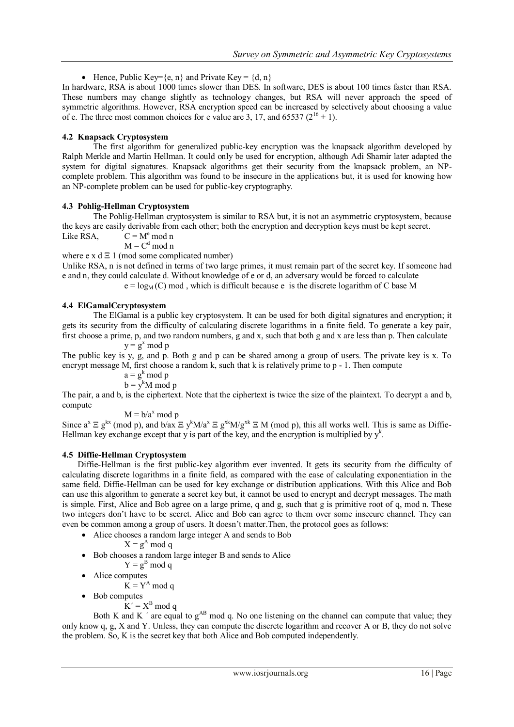Hence, Public Key= $\{e, n\}$  and Private Key =  $\{d, n\}$ 

In hardware, RSA is about 1000 times slower than DES. In software, DES is about 100 times faster than RSA. These numbers may change slightly as technology changes, but RSA will never approach the speed of symmetric algorithms. However, RSA encryption speed can be increased by selectively about choosing a value of e. The three most common choices for e value are 3, 17, and 65537 ( $2^{16} + 1$ ).

# **4.2 Knapsack Cryptosystem**

The first algorithm for generalized public-key encryption was the knapsack algorithm developed by Ralph Merkle and Martin Hellman. It could only be used for encryption, although Adi Shamir later adapted the system for digital signatures. Knapsack algorithms get their security from the knapsack problem, an NPcomplete problem. This algorithm was found to be insecure in the applications but, it is used for knowing how an NP-complete problem can be used for public-key cryptography.

# **4.3 Pohlig-Hellman Cryptosystem**

The Pohlig-Hellman cryptosystem is similar to RSA but, it is not an asymmetric cryptosystem, because the keys are easily derivable from each other; both the encryption and decryption keys must be kept secret. Like  $RSA$ ,  $C = M^e \mod n$ 

 $M = C<sup>d</sup> \mod n$ 

where e x  $d \n\equiv 1 \pmod{3}$  some complicated number)

Unlike RSA, n is not defined in terms of two large primes, it must remain part of the secret key. If someone had e and n, they could calculate d. Without knowledge of e or d, an adversary would be forced to calculate

 $e = log<sub>M</sub>(C)$  mod, which is difficult because e is the discrete logarithm of C base M

# **4.4 ElGamalCcryptosystem**

The ElGamal is a public key cryptosystem. It can be used for both digital signatures and encryption; it gets its security from the difficulty of calculating discrete logarithms in a finite field. To generate a key pair, first choose a prime, p, and two random numbers, g and x, such that both g and x are less than p. Then calculate  $y = g^x \mod p$ 

The public key is y, g, and p. Both g and p can be shared among a group of users. The private key is x. To encrypt message M, first choose a random k, such that k is relatively prime to p - 1. Then compute

 $a = g^k \mod p$ 

 $b = v^k M \text{ mod } p$ 

The pair, a and b, is the ciphertext. Note that the ciphertext is twice the size of the plaintext. To decrypt a and b, compute

 $M = b/a^x \mod p$ 

Since  $a^x \n\mathcal{E} g^{kx}$  (mod p), and  $b/ax \n\mathcal{E} g^k M/a^x \n\mathcal{E} g^{kx} M/g^{xk} \n\mathcal{E} M$  (mod p), this all works well. This is same as Diffie-Hellman key exchange except that y is part of the key, and the encryption is multiplied by  $y^k$ .

# **4.5 Diffie-Hellman Cryptosystem**

Diffie-Hellman is the first public-key algorithm ever invented. It gets its security from the difficulty of calculating discrete logarithms in a finite field, as compared with the ease of calculating exponentiation in the same field. Diffie-Hellman can be used for key exchange or distribution applications. With this Alice and Bob can use this algorithm to generate a secret key but, it cannot be used to encrypt and decrypt messages. The math is simple. First, Alice and Bob agree on a large prime, q and g, such that g is primitive root of q, mod n. These two integers don"t have to be secret. Alice and Bob can agree to them over some insecure channel. They can even be common among a group of users. It doesn"t matter.Then, the protocol goes as follows:

- Alice chooses a random large integer A and sends to Bob
	- $X = g<sup>A</sup> \mod q$
- Bob chooses a random large integer B and sends to Alice
	- $Y = g<sup>B</sup> \mod q$
- Alice computes
	- $K = Y^A \mod q$
- Bob computes
	- $K' = X^B \mod q$

Both K and K  $\prime$  are equal to  $g^{AB}$  mod q. No one listening on the channel can compute that value; they only know q, g, X and Y. Unless, they can compute the discrete logarithm and recover A or B, they do not solve the problem. So, K is the secret key that both Alice and Bob computed independently.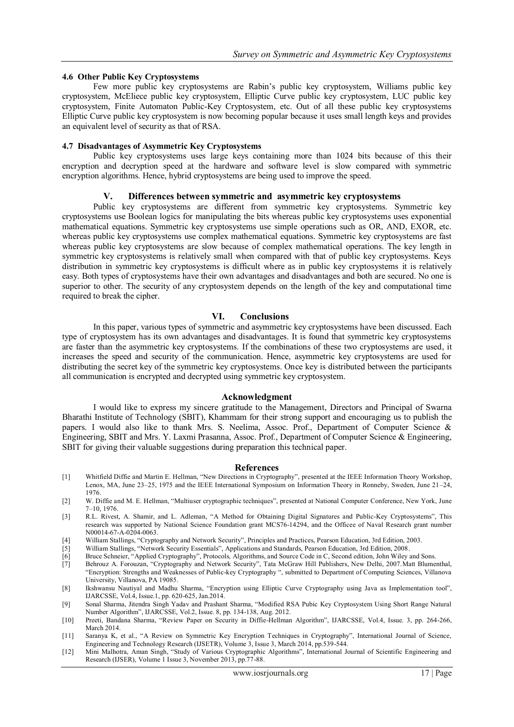#### **4.6 Other Public Key Cryptosystems**

Few more public key cryptosystems are Rabin"s public key cryptosystem, Williams public key cryptosystem, McEliece public key cryptosystem, Elliptic Curve public key cryptosystem, LUC public key cryptosystem, Finite Automaton Public-Key Cryptosystem, etc. Out of all these public key cryptosystems Elliptic Curve public key cryptosystem is now becoming popular because it uses small length keys and provides an equivalent level of security as that of RSA.

#### **4.7 Disadvantages of Asymmetric Key Cryptosystems**

Public key cryptosystems uses large keys containing more than 1024 bits because of this their encryption and decryption speed at the hardware and software level is slow compared with symmetric encryption algorithms. Hence, hybrid cryptosystems are being used to improve the speed.

#### **V. Differences between symmetric and asymmetric key cryptosystems**

Public key cryptosystems are different from symmetric key cryptosystems. Symmetric key cryptosystems use Boolean logics for manipulating the bits whereas public key cryptosystems uses exponential mathematical equations. Symmetric key cryptosystems use simple operations such as OR, AND, EXOR, etc. whereas public key cryptosystems use complex mathematical equations. Symmetric key cryptosystems are fast whereas public key cryptosystems are slow because of complex mathematical operations. The key length in symmetric key cryptosystems is relatively small when compared with that of public key cryptosystems. Keys distribution in symmetric key cryptosystems is difficult where as in public key cryptosystems it is relatively easy. Both types of cryptosystems have their own advantages and disadvantages and both are secured. No one is superior to other. The security of any cryptosystem depends on the length of the key and computational time required to break the cipher.

#### **VI. Conclusions**

In this paper, various types of symmetric and asymmetric key cryptosystems have been discussed. Each type of cryptosystem has its own advantages and disadvantages. It is found that symmetric key cryptosystems are faster than the asymmetric key cryptosystems. If the combinations of these two cryptosystems are used, it increases the speed and security of the communication. Hence, asymmetric key cryptosystems are used for distributing the secret key of the symmetric key cryptosystems. Once key is distributed between the participants all communication is encrypted and decrypted using symmetric key cryptosystem.

#### **Acknowledgment**

I would like to express my sincere gratitude to the Management, Directors and Principal of Swarna Bharathi Institute of Technology (SBIT), Khammam for their strong support and encouraging us to publish the papers. I would also like to thank Mrs. S. Neelima, Assoc. Prof., Department of Computer Science & Engineering, SBIT and Mrs. Y. Laxmi Prasanna, Assoc. Prof., Department of Computer Science & Engineering, SBIT for giving their valuable suggestions during preparation this technical paper.

#### **References**

- [1] Whitfield Diffie and Martin E. Hellman, "New Directions in Cryptography", presented at the IEEE Information Theory Workshop, Lenox, MA, June 23–25, 1975 and the IEEE International Symposium on Information Theory in Ronneby, Sweden, June 21–24, 1976.
- [2] W. Diffie and M. E. Hellman, "Multiuser cryptographic techniques", presented at National Computer Conference, New York, June 7–10, 1976.
- [3] R.L. Rivest, A. Shamir, and L. Adleman, "A Method for Obtaining Digital Signatures and Public-Key Cryptosystems", This research was supported by National Science Foundation grant MCS76-14294, and the Officee of Naval Research grant number N00014-67-A-0204-0063.
- [4] William Stallings, "Cryptography and Network Security", Principles and Practices, Pearson Education, 3rd Edition, 2003.
- [5] William Stallings, "Network Security Essentials", Applications and Standards, Pearson Education, 3rd Edition, 2008.
- [6] Bruce Schneier, "Applied Cryptography", Protocols, Algorithms, and Source Code in C, Second edition, John Wiley and Sons.<br>[7] Behrouz A. Forouzan, "Cryptography and Network Security", Tata McGraw Hill Publishers, New D
- [7] Behrouz A. Forouzan, "Cryptography and Network Security", Tata McGraw Hill Publishers, New Delhi, 2007.Matt Blumenthal, "Encryption: Strengths and Weaknesses of Public-key Cryptography ", submitted to Department of Computing Sciences, Villanova University, Villanova, PA 19085.
- [8] Ikshwansu Nautiyal and Madhu Sharma, "Encryption using Elliptic Curve Cryptography using Java as Implementation tool", IJARCSSE, Vol.4, Issue.1, pp. 620-625, Jan.2014.
- [9] Sonal Sharma, Jitendra Singh Yadav and Prashant Sharma, "Modified RSA Pubic Key Cryptosystem Using Short Range Natural Number Algorithm", IJARCSSE, Vol.2, Issue. 8, pp. 134-138, Aug. 2012.
- [10] Preeti, Bandana Sharma, "Review Paper on Security in Diffie-Hellman Algorithm", IJARCSSE, Vol.4, Issue. 3, pp. 264-266, March 2014
- [11] Saranya K, et al., "A Review on Symmetric Key Encryption Techniques in Cryptography", International Journal of Science, Engineering and Technology Research (IJSETR), Volume 3, Issue 3, March 2014, pp.539-544.
- [12] Mini Malhotra, Aman Singh, "Study of Various Cryptographic Algorithms", International Journal of Scientific Engineering and Research (IJSER), Volume 1 Issue 3, November 2013, pp.77-88.